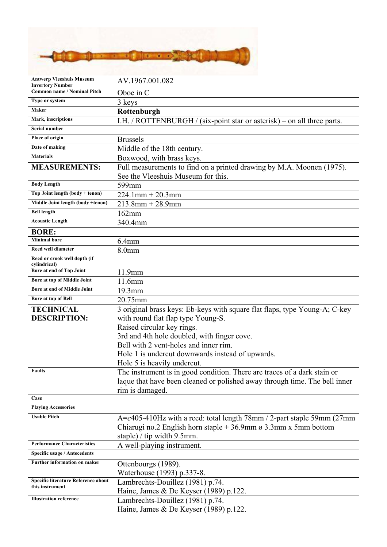

| <b>Antwerp Vleeshuis Museum</b><br><b>Invertory Number</b> | AV.1967.001.082                                                                                         |
|------------------------------------------------------------|---------------------------------------------------------------------------------------------------------|
| <b>Common name / Nominal Pitch</b>                         | Oboe in C                                                                                               |
| Type or system                                             | 3 keys                                                                                                  |
| Maker                                                      | Rottenburgh                                                                                             |
| Mark, inscriptions                                         | I.H. / ROTTENBURGH / (six-point star or asterisk) – on all three parts.                                 |
| Serial number                                              |                                                                                                         |
| Place of origin                                            | <b>Brussels</b>                                                                                         |
| Date of making                                             | Middle of the 18th century.                                                                             |
| <b>Materials</b>                                           | Boxwood, with brass keys.                                                                               |
| <b>MEASUREMENTS:</b>                                       | Full measurements to find on a printed drawing by M.A. Moonen (1975).                                   |
|                                                            | See the Vleeshuis Museum for this.                                                                      |
| <b>Body Length</b>                                         | 599mm                                                                                                   |
| Top Joint length (body + tenon)                            | $224.1$ mm + $20.3$ mm                                                                                  |
| Middle Joint length (body +tenon)                          | $213.8$ mm + 28.9mm                                                                                     |
| <b>Bell length</b>                                         | 162mm                                                                                                   |
| <b>Acoustic Length</b>                                     | 340.4mm                                                                                                 |
| <b>BORE:</b>                                               |                                                                                                         |
| <b>Minimal</b> bore                                        | 6.4 <sub>mm</sub>                                                                                       |
| <b>Reed well diameter</b>                                  | 8.0mm                                                                                                   |
| Reed or crook well depth (if                               |                                                                                                         |
| cylindrical)<br>Bore at end of Top Joint                   | 11.9mm                                                                                                  |
| Bore at top of Middle Joint                                | 11.6mm                                                                                                  |
| Bore at end of Middle Joint                                | 19.3mm                                                                                                  |
| Bore at top of Bell                                        | 20.75mm                                                                                                 |
| <b>TECHNICAL</b>                                           | 3 original brass keys: Eb-keys with square flat flaps, type Young-A; C-key                              |
| <b>DESCRIPTION:</b>                                        | with round flat flap type Young-S.                                                                      |
|                                                            |                                                                                                         |
|                                                            |                                                                                                         |
|                                                            | Raised circular key rings.                                                                              |
|                                                            | 3rd and 4th hole doubled, with finger cove.                                                             |
|                                                            | Bell with 2 vent-holes and inner rim.                                                                   |
|                                                            | Hole 1 is undercut downwards instead of upwards.                                                        |
| <b>Faults</b>                                              | Hole 5 is heavily undercut.<br>The instrument is in good condition. There are traces of a dark stain or |
|                                                            | laque that have been cleaned or polished away through time. The bell inner                              |
|                                                            | rim is damaged.                                                                                         |
| Case                                                       |                                                                                                         |
| <b>Playing Accessories</b>                                 |                                                                                                         |
| <b>Usable Pitch</b>                                        | $A = c405-410$ Hz with a reed: total length 78mm / 2-part staple 59mm (27mm)                            |
|                                                            | Chiarugi no.2 English horn staple $+36.9$ mm ø 3.3mm x 5mm bottom                                       |
|                                                            | staple) / tip width 9.5mm.                                                                              |
| <b>Performance Characteristics</b>                         | A well-playing instrument.                                                                              |
| Specific usage / Antecedents                               |                                                                                                         |
| Further information on maker                               | Ottenbourgs (1989).                                                                                     |
|                                                            | Waterhouse (1993) p.337-8.                                                                              |
| Specific literature Reference about<br>this instrument     | Lambrechts-Douillez (1981) p.74.                                                                        |
|                                                            | Haine, James & De Keyser (1989) p.122.                                                                  |
| <b>Illustration reference</b>                              | Lambrechts-Douillez (1981) p.74.<br>Haine, James & De Keyser (1989) p.122.                              |